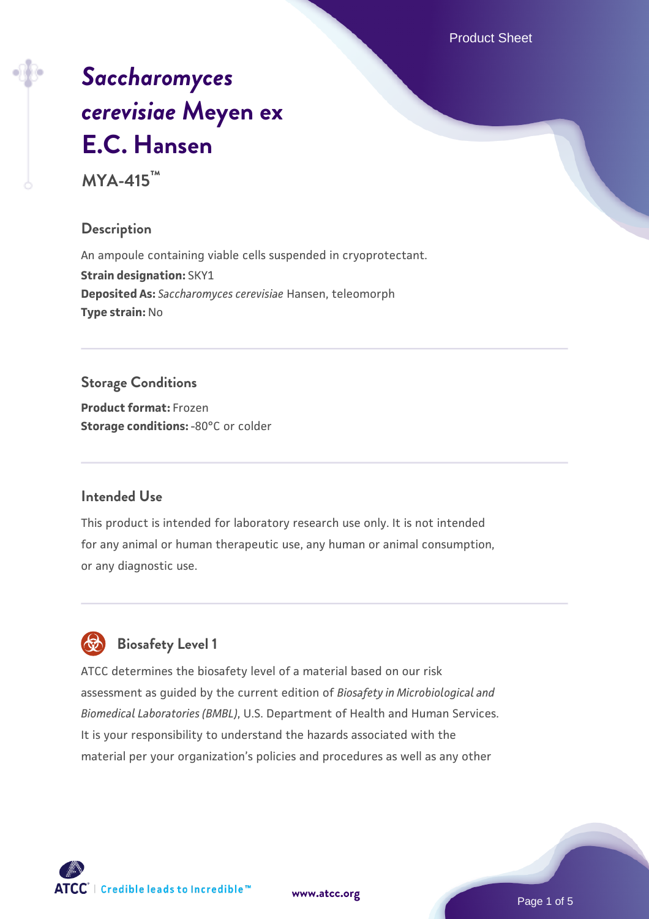Product Sheet

# *[Saccharomyces](https://www.atcc.org/products/mya-415) [cerevisiae](https://www.atcc.org/products/mya-415)* **[Meyen ex](https://www.atcc.org/products/mya-415) [E.C. Hansen](https://www.atcc.org/products/mya-415)**

**MYA-415™**

## **Description**

An ampoule containing viable cells suspended in cryoprotectant. **Strain designation:** SKY1 **Deposited As:** *Saccharomyces cerevisiae* Hansen, teleomorph **Type strain:** No

# **Storage Conditions**

**Product format:** Frozen **Storage conditions: -80°C** or colder

# **Intended Use**

This product is intended for laboratory research use only. It is not intended for any animal or human therapeutic use, any human or animal consumption, or any diagnostic use.



# **Biosafety Level 1**

ATCC determines the biosafety level of a material based on our risk assessment as guided by the current edition of *Biosafety in Microbiological and Biomedical Laboratories (BMBL)*, U.S. Department of Health and Human Services. It is your responsibility to understand the hazards associated with the material per your organization's policies and procedures as well as any other

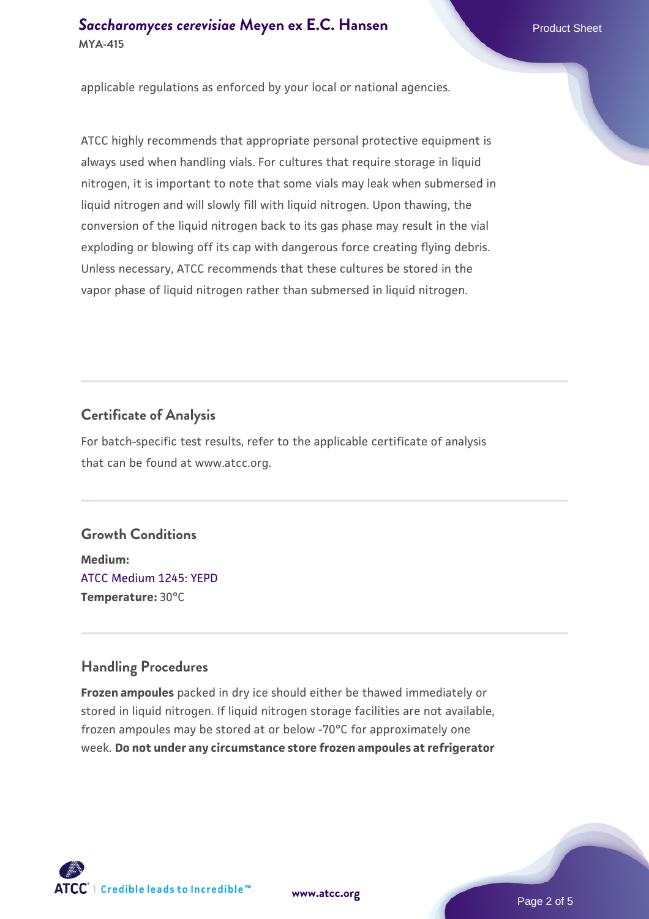## **[Saccharomyces cerevisiae](https://www.atcc.org/products/mya-415)** [Meyen ex E.C. Hansen](https://www.atcc.org/products/mya-415) **MYA-415**

applicable regulations as enforced by your local or national agencies.

ATCC highly recommends that appropriate personal protective equipment is always used when handling vials. For cultures that require storage in liquid nitrogen, it is important to note that some vials may leak when submersed in liquid nitrogen and will slowly fill with liquid nitrogen. Upon thawing, the conversion of the liquid nitrogen back to its gas phase may result in the vial exploding or blowing off its cap with dangerous force creating flying debris. Unless necessary, ATCC recommends that these cultures be stored in the vapor phase of liquid nitrogen rather than submersed in liquid nitrogen.

#### **Certificate of Analysis**

For batch-specific test results, refer to the applicable certificate of analysis that can be found at www.atcc.org.

#### **Growth Conditions**

**Medium:**  [ATCC Medium 1245: YEPD](https://www.atcc.org/-/media/product-assets/documents/microbial-media-formulations/1/2/4/5/atcc-medium-1245.pdf?rev=705ca55d1b6f490a808a965d5c072196) **Temperature:** 30°C

#### **Handling Procedures**

**Frozen ampoules** packed in dry ice should either be thawed immediately or stored in liquid nitrogen. If liquid nitrogen storage facilities are not available, frozen ampoules may be stored at or below -70°C for approximately one week. **Do not under any circumstance store frozen ampoules at refrigerator**

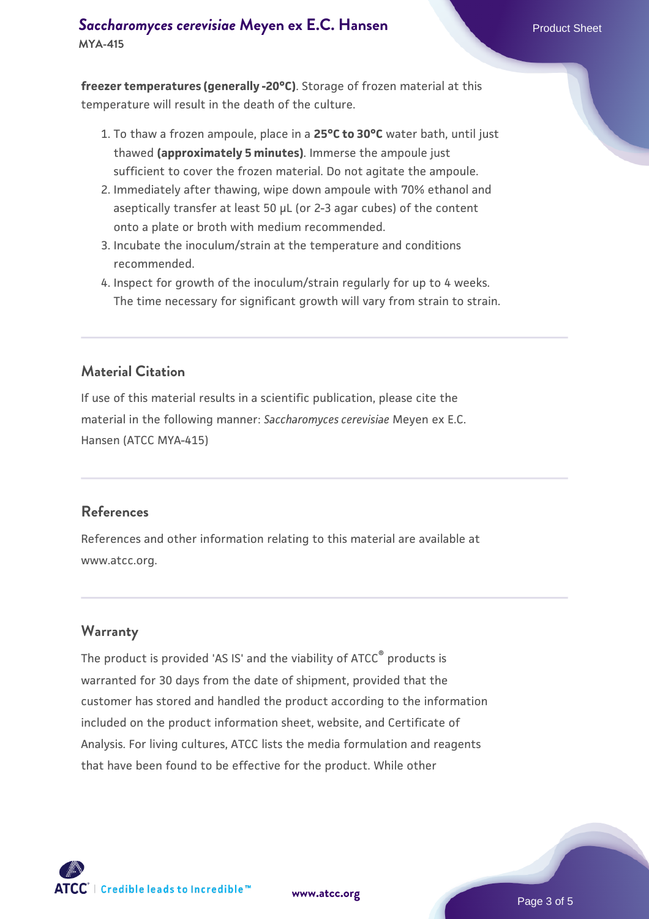# **[Saccharomyces cerevisiae](https://www.atcc.org/products/mya-415)** [Meyen ex E.C. Hansen](https://www.atcc.org/products/mya-415) **MYA-415**

**freezer temperatures (generally -20°C)**. Storage of frozen material at this temperature will result in the death of the culture.

- 1. To thaw a frozen ampoule, place in a **25°C to 30°C** water bath, until just thawed **(approximately 5 minutes)**. Immerse the ampoule just sufficient to cover the frozen material. Do not agitate the ampoule.
- 2. Immediately after thawing, wipe down ampoule with 70% ethanol and aseptically transfer at least 50 µL (or 2-3 agar cubes) of the content onto a plate or broth with medium recommended.
- 3. Incubate the inoculum/strain at the temperature and conditions recommended.
- 4. Inspect for growth of the inoculum/strain regularly for up to 4 weeks. The time necessary for significant growth will vary from strain to strain.

# **Material Citation**

If use of this material results in a scientific publication, please cite the material in the following manner: *Saccharomyces cerevisiae* Meyen ex E.C. Hansen (ATCC MYA-415)

#### **References**

References and other information relating to this material are available at www.atcc.org.

# **Warranty**

The product is provided 'AS IS' and the viability of ATCC<sup>®</sup> products is warranted for 30 days from the date of shipment, provided that the customer has stored and handled the product according to the information included on the product information sheet, website, and Certificate of Analysis. For living cultures, ATCC lists the media formulation and reagents that have been found to be effective for the product. While other

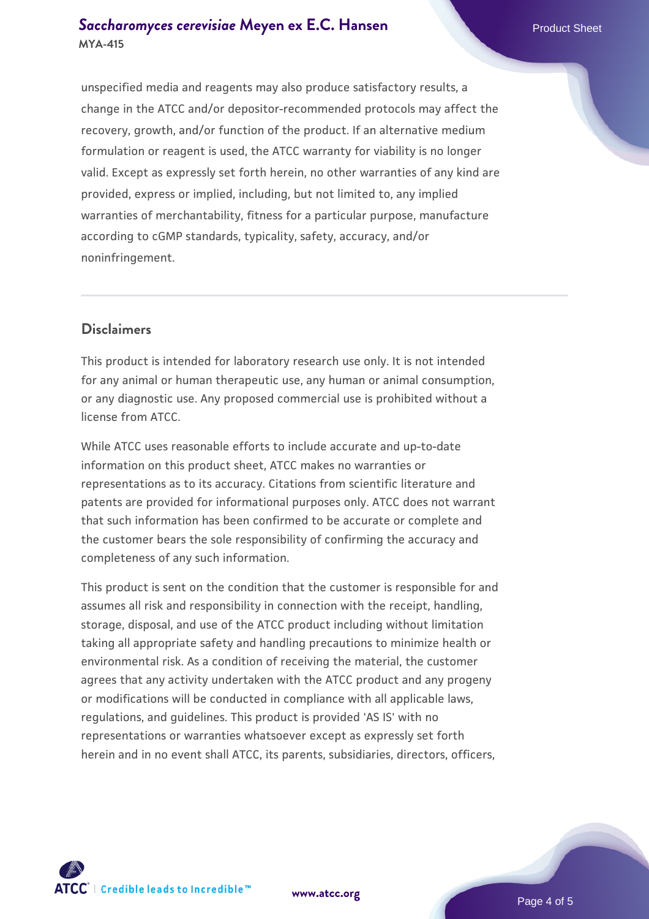## **[Saccharomyces cerevisiae](https://www.atcc.org/products/mya-415)** [Meyen ex E.C. Hansen](https://www.atcc.org/products/mya-415) **MYA-415**

unspecified media and reagents may also produce satisfactory results, a change in the ATCC and/or depositor-recommended protocols may affect the recovery, growth, and/or function of the product. If an alternative medium formulation or reagent is used, the ATCC warranty for viability is no longer valid. Except as expressly set forth herein, no other warranties of any kind are provided, express or implied, including, but not limited to, any implied warranties of merchantability, fitness for a particular purpose, manufacture according to cGMP standards, typicality, safety, accuracy, and/or noninfringement.

## **Disclaimers**

This product is intended for laboratory research use only. It is not intended for any animal or human therapeutic use, any human or animal consumption, or any diagnostic use. Any proposed commercial use is prohibited without a license from ATCC.

While ATCC uses reasonable efforts to include accurate and up-to-date information on this product sheet, ATCC makes no warranties or representations as to its accuracy. Citations from scientific literature and patents are provided for informational purposes only. ATCC does not warrant that such information has been confirmed to be accurate or complete and the customer bears the sole responsibility of confirming the accuracy and completeness of any such information.

This product is sent on the condition that the customer is responsible for and assumes all risk and responsibility in connection with the receipt, handling, storage, disposal, and use of the ATCC product including without limitation taking all appropriate safety and handling precautions to minimize health or environmental risk. As a condition of receiving the material, the customer agrees that any activity undertaken with the ATCC product and any progeny or modifications will be conducted in compliance with all applicable laws, regulations, and guidelines. This product is provided 'AS IS' with no representations or warranties whatsoever except as expressly set forth herein and in no event shall ATCC, its parents, subsidiaries, directors, officers,



**[www.atcc.org](http://www.atcc.org)**

Page 4 of 5